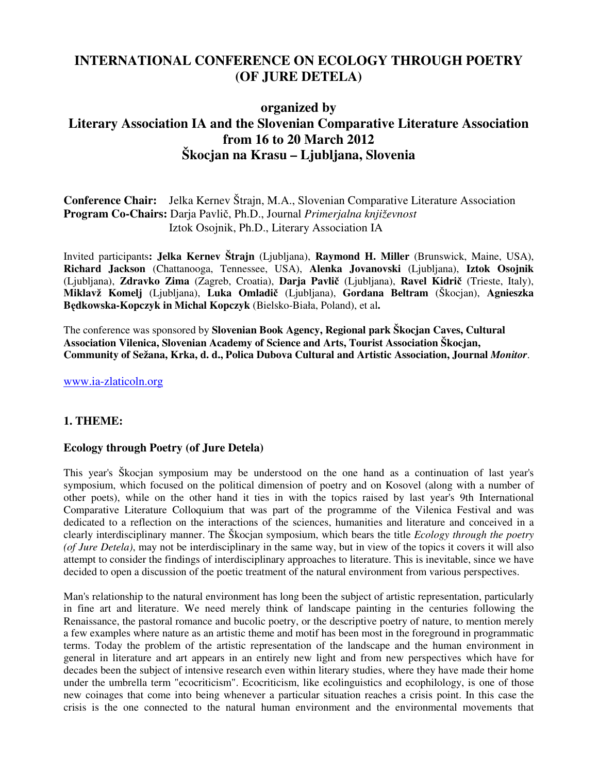# **INTERNATIONAL CONFERENCE ON ECOLOGY THROUGH POETRY (OF JURE DETELA)**

# **organized by Literary Association IA and the Slovenian Comparative Literature Association from 16 to 20 March 2012 Škocjan na Krasu – Ljubljana, Slovenia**

**Conference Chair:** Jelka Kernev Štrajn, M.A., Slovenian Comparative Literature Association **Program Co-Chairs:** Darja Pavlič, Ph.D., Journal *Primerjalna književnost* Iztok Osojnik, Ph.D., Literary Association IA

Invited participants**: Jelka Kernev Štrajn** (Ljubljana), **Raymond H. Miller** (Brunswick, Maine, USA), **Richard Jackson** (Chattanooga, Tennessee, USA), **Alenka Jovanovski** (Ljubljana), **Iztok Osojnik**  (Ljubljana), **Zdravko Zima** (Zagreb, Croatia), **Darja Pavlič** (Ljubljana), **Ravel Kidrič** (Trieste, Italy), **Miklavž Komelj** (Ljubljana), **Luka Omladič** (Ljubljana), **Gordana Beltram** (Škocjan), **Agnieszka Będkowska-Kopczyk in Michal Kopczyk** (Bielsko-Biała, Poland), et al**.** 

The conference was sponsored by **Slovenian Book Agency, Regional park Škocjan Caves, Cultural Association Vilenica, Slovenian Academy of Science and Arts, Tourist Association Škocjan, Community of Sežana, Krka, d. d., Polica Dubova Cultural and Artistic Association, Journal** *Monitor*.

www.ia-zlaticoln.org

## **1. THEME:**

### **Ecology through Poetry (of Jure Detela)**

This year's Škocjan symposium may be understood on the one hand as a continuation of last year's symposium, which focused on the political dimension of poetry and on Kosovel (along with a number of other poets), while on the other hand it ties in with the topics raised by last year's 9th International Comparative Literature Colloquium that was part of the programme of the Vilenica Festival and was dedicated to a reflection on the interactions of the sciences, humanities and literature and conceived in a clearly interdisciplinary manner. The Škocjan symposium, which bears the title *Ecology through the poetry (of Jure Detela)*, may not be interdisciplinary in the same way, but in view of the topics it covers it will also attempt to consider the findings of interdisciplinary approaches to literature. This is inevitable, since we have decided to open a discussion of the poetic treatment of the natural environment from various perspectives.

Man's relationship to the natural environment has long been the subject of artistic representation, particularly in fine art and literature. We need merely think of landscape painting in the centuries following the Renaissance, the pastoral romance and bucolic poetry, or the descriptive poetry of nature, to mention merely a few examples where nature as an artistic theme and motif has been most in the foreground in programmatic terms. Today the problem of the artistic representation of the landscape and the human environment in general in literature and art appears in an entirely new light and from new perspectives which have for decades been the subject of intensive research even within literary studies, where they have made their home under the umbrella term "ecocriticism". Ecocriticism, like ecolinguistics and ecophilology, is one of those new coinages that come into being whenever a particular situation reaches a crisis point. In this case the crisis is the one connected to the natural human environment and the environmental movements that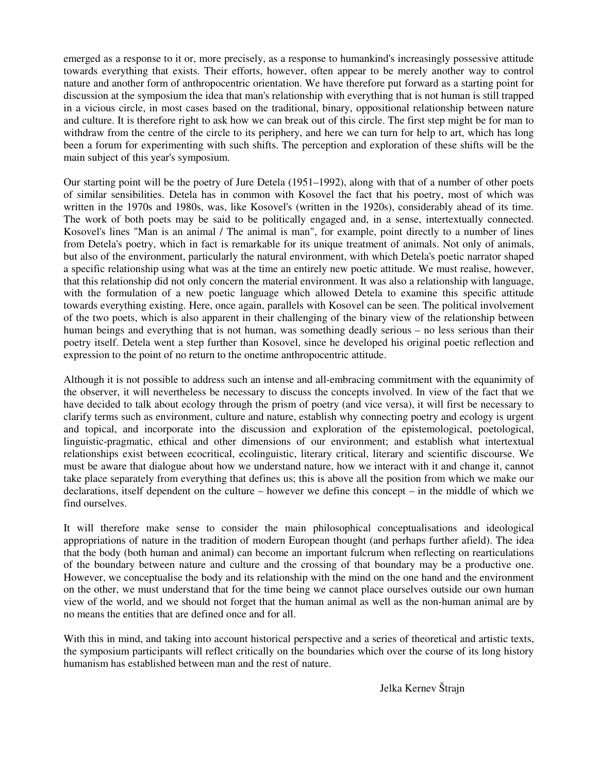emerged as a response to it or, more precisely, as a response to humankind's increasingly possessive attitude towards everything that exists. Their efforts, however, often appear to be merely another way to control nature and another form of anthropocentric orientation. We have therefore put forward as a starting point for discussion at the symposium the idea that man's relationship with everything that is not human is still trapped in a vicious circle, in most cases based on the traditional, binary, oppositional relationship between nature and culture. It is therefore right to ask how we can break out of this circle. The first step might be for man to withdraw from the centre of the circle to its periphery, and here we can turn for help to art, which has long been a forum for experimenting with such shifts. The perception and exploration of these shifts will be the main subject of this year's symposium.

Our starting point will be the poetry of Jure Detela (1951–1992), along with that of a number of other poets of similar sensibilities. Detela has in common with Kosovel the fact that his poetry, most of which was written in the 1970s and 1980s, was, like Kosovel's (written in the 1920s), considerably ahead of its time. The work of both poets may be said to be politically engaged and, in a sense, intertextually connected. Kosovel's lines "Man is an animal / The animal is man", for example, point directly to a number of lines from Detela's poetry, which in fact is remarkable for its unique treatment of animals. Not only of animals, but also of the environment, particularly the natural environment, with which Detela's poetic narrator shaped a specific relationship using what was at the time an entirely new poetic attitude. We must realise, however, that this relationship did not only concern the material environment. It was also a relationship with language, with the formulation of a new poetic language which allowed Detela to examine this specific attitude towards everything existing. Here, once again, parallels with Kosovel can be seen. The political involvement of the two poets, which is also apparent in their challenging of the binary view of the relationship between human beings and everything that is not human, was something deadly serious – no less serious than their poetry itself. Detela went a step further than Kosovel, since he developed his original poetic reflection and expression to the point of no return to the onetime anthropocentric attitude.

Although it is not possible to address such an intense and all-embracing commitment with the equanimity of the observer, it will nevertheless be necessary to discuss the concepts involved. In view of the fact that we have decided to talk about ecology through the prism of poetry (and vice versa), it will first be necessary to clarify terms such as environment, culture and nature, establish why connecting poetry and ecology is urgent and topical, and incorporate into the discussion and exploration of the epistemological, poetological, linguistic-pragmatic, ethical and other dimensions of our environment; and establish what intertextual relationships exist between ecocritical, ecolinguistic, literary critical, literary and scientific discourse. We must be aware that dialogue about how we understand nature, how we interact with it and change it, cannot take place separately from everything that defines us; this is above all the position from which we make our declarations, itself dependent on the culture – however we define this concept – in the middle of which we find ourselves.

It will therefore make sense to consider the main philosophical conceptualisations and ideological appropriations of nature in the tradition of modern European thought (and perhaps further afield). The idea that the body (both human and animal) can become an important fulcrum when reflecting on rearticulations of the boundary between nature and culture and the crossing of that boundary may be a productive one. However, we conceptualise the body and its relationship with the mind on the one hand and the environment on the other, we must understand that for the time being we cannot place ourselves outside our own human view of the world, and we should not forget that the human animal as well as the non-human animal are by no means the entities that are defined once and for all.

With this in mind, and taking into account historical perspective and a series of theoretical and artistic texts, the symposium participants will reflect critically on the boundaries which over the course of its long history humanism has established between man and the rest of nature.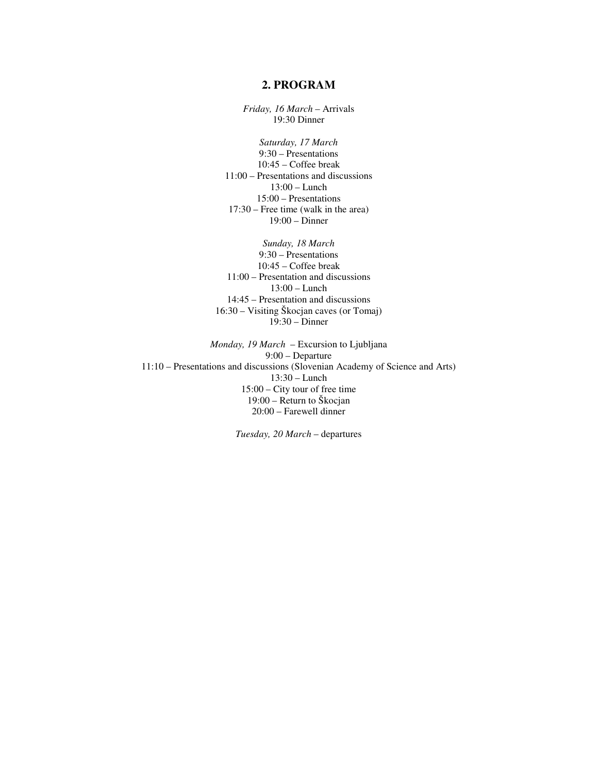#### **2. PROGRAM**

*Friday, 16 March* – Arrivals 19:30 Dinner

*Saturday, 17 March*  9:30 – Presentations 10:45 – Coffee break 11:00 – Presentations and discussions 13:00 – Lunch 15:00 – Presentations 17:30 – Free time (walk in the area) 19:00 – Dinner

*Sunday, 18 March*  9:30 – Presentations 10:45 – Coffee break 11:00 – Presentation and discussions 13:00 – Lunch 14:45 – Presentation and discussions 16:30 – Visiting Škocjan caves (or Tomaj) 19:30 – Dinner

*Monday, 19 March* – Excursion to Ljubljana 9:00 – Departure 11:10 – Presentations and discussions (Slovenian Academy of Science and Arts) 13:30 – Lunch 15:00 – City tour of free time 19:00 – Return to Škocjan 20:00 – Farewell dinner

*Tuesday, 20 March* – departures